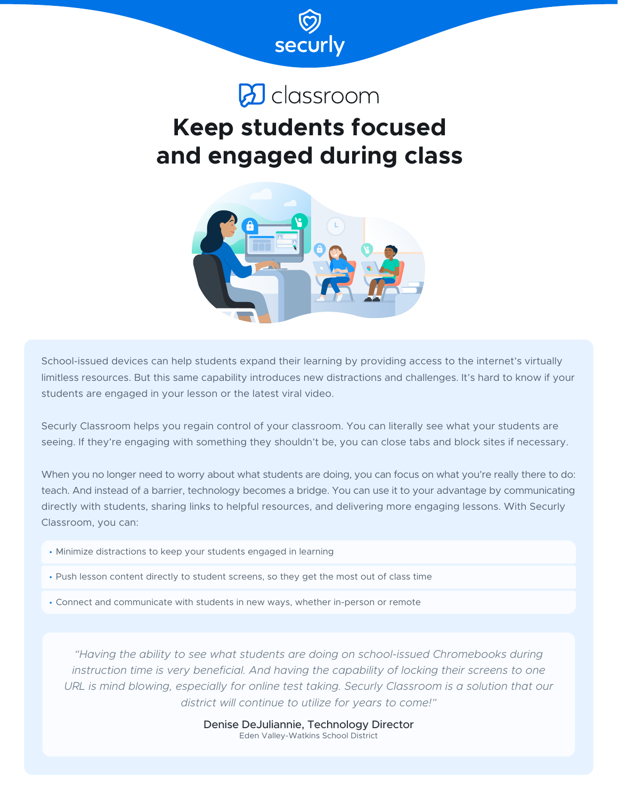

# $\omega$  classroom

# **Keep students focused and engaged during class**



School-issued devices can help students expand their learning by providing access to the internet's virtually limitless resources. But this same capability introduces new distractions and challenges. It's hard to know if your students are engaged in your lesson or the latest viral video.

Securly Classroom helps you regain control of your classroom. You can literally see what your students are seeing. If they're engaging with something they shouldn't be, you can close tabs and block sites if necessary.

When you no longer need to worry about what students are doing, you can focus on what you're really there to do: teach. And instead of a barrier, technology becomes a bridge. You can use it to your advantage by communicating directly with students, sharing links to helpful resources, and delivering more engaging lessons. With Securly Classroom, you can:

- Minimize distractions to keep your students engaged in learning
- Push lesson content directly to student screens, so they get the most out of class time
- Connect and communicate with students in new ways, whether in-person or remote

*"Having the ability to see what students are doing on school-issued Chromebooks during instruction time is very beneficial. And having the capability of locking their screens to one*  URL is mind blowing, especially for online test taking. Securly Classroom is a solution that our *district will continue to utilize for years to come!"*

> Denise DeJuliannie, Technology Director Eden Valley-Watkins School District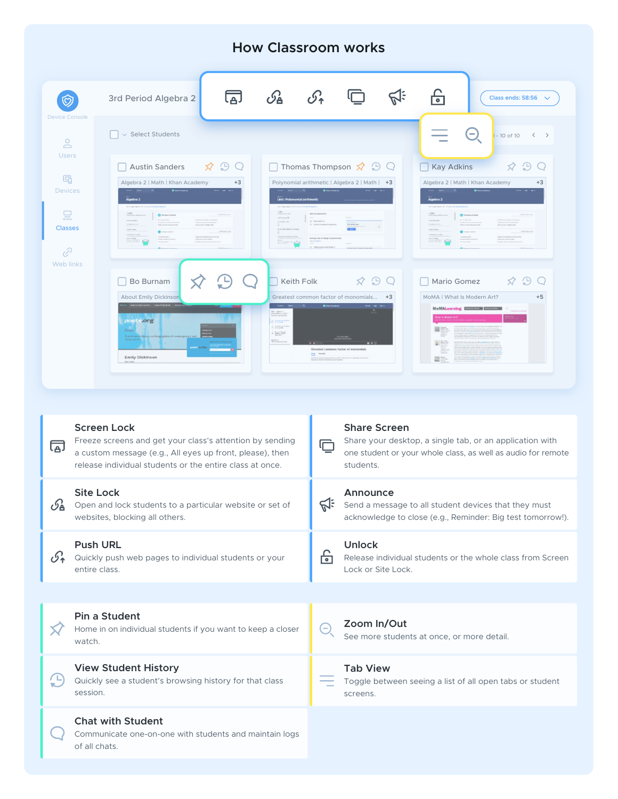# **How Classroom works**



#### **Screen Lock Share Screen** Freeze screens and get your class's attention by sending Share your desktop, a single tab, or an application with 同 冖 a custom message (e.g., All eyes up front, please), then one student or your whole class, as well as audio for remote release individual students or the entire class at once. students. **Site Lock Announce**  $\mathcal{G}_{\mathbf{A}}$  Open and lock students to a particular website or set of  $\mathbb{S}^{\div}$  Send a message to all student devices that they must websites, blocking all others. acknowledge to close (e.g., Reminder: Big test tomorrow!). **Push URL Unlock** <u> નિ</u>  $\mathcal{S}_{\uparrow}$  Quickly push web pages to individual students or your Release individual students or the whole class from Screen entire class. Lock or Site Lock. **Pin a Student Zoom In/Out** Home in on individual students if you want to keep a closer  $\ominus$ X/ See more students at once, or more detail. watch. **View Student History Tab View**  $\left(\begin{array}{cc} \Box \end{array}\right)$  Quickly see a student's browsing history for that class Toggle between seeing a list of all open tabs or student session. screens. **Chat with Student** Communicate one-on-one with students and maintain logs of all chats.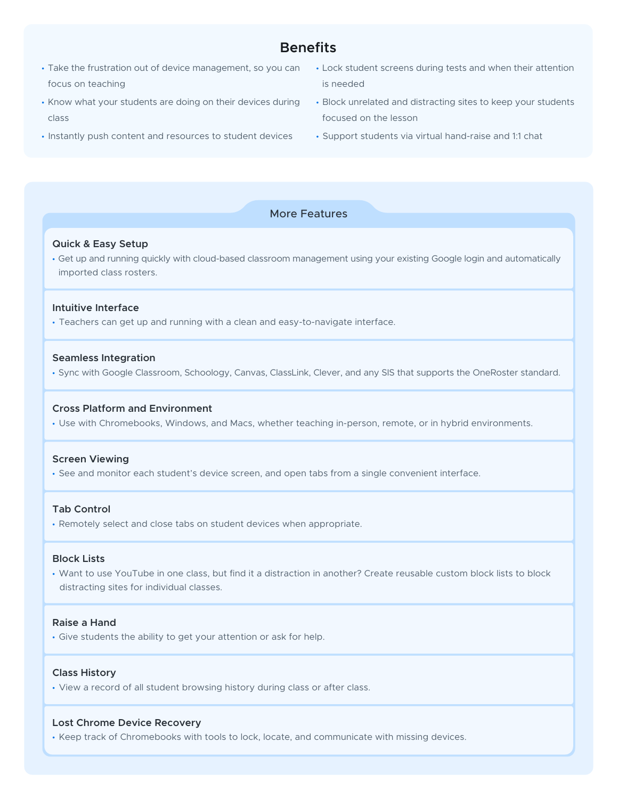# **Benefits**

- Take the frustration out of device management, so you can focus on teaching
- Know what your students are doing on their devices during class
- Instantly push content and resources to student devices
- Lock student screens during tests and when their attention is needed
- Block unrelated and distracting sites to keep your students focused on the lesson
- Support students via virtual hand-raise and 1:1 chat

## More Features

#### **Quick & Easy Setup**

• Get up and running quickly with cloud-based classroom management using your existing Google login and automatically imported class rosters.

## **Intuitive Interface**

• Teachers can get up and running with a clean and easy-to-navigate interface.

#### **Seamless Integration**

• Sync with Google Classroom, Schoology, Canvas, ClassLink, Clever, and any SIS that supports the OneRoster standard.

## **Cross Platform and Environment**

• Use with Chromebooks, Windows, and Macs, whether teaching in-person, remote, or in hybrid environments.

#### **Screen Viewing**

• See and monitor each student's device screen, and open tabs from a single convenient interface.

## **Tab Control**

• Remotely select and close tabs on student devices when appropriate.

#### **Block Lists**

• Want to use YouTube in one class, but find it a distraction in another? Create reusable custom block lists to block distracting sites for individual classes.

## **Raise a Hand**

• Give students the ability to get your attention or ask for help.

#### **Class History**

• View a record of all student browsing history during class or after class.

## **Lost Chrome Device Recovery**

• Keep track of Chromebooks with tools to lock, locate, and communicate with missing devices.